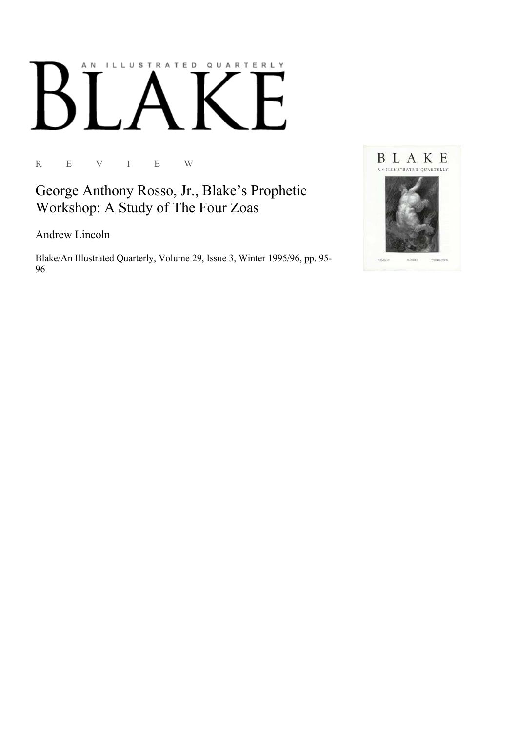## AN ILLUSTRATED QUARTERLY

R E V I E W

George Anthony Rosso, Jr., Blake's Prophetic Workshop: A Study of The Four Zoas

Andrew Lincoln

Blake/An Illustrated Quarterly, Volume 29, Issue 3, Winter 1995/96, pp. 95-96

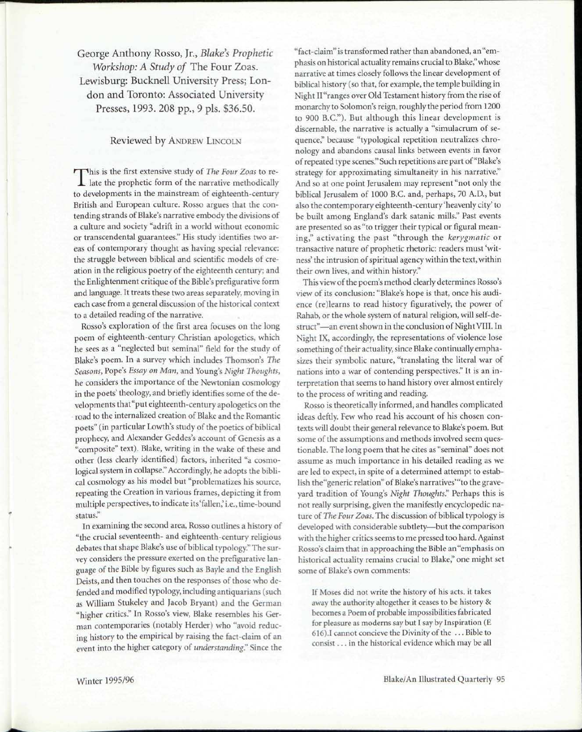George Anthony Rosso, Jr., *Blake's Prophetic Workshop: A Study of* The Four Zoas. Lewisburg: Bucknell University Press; London and Toronto: Associated University Presses, 1993. 208 pp., 9 pis. \$36.50.

## Reviewed by ANDREW LINCOLN

This is the first extensive study of *The Four Zoas* to relate the prophetic form of the narrative methodically to developments in the mainstream of eighteenth-century his is the first extensive study of *The Four Zoas* to relate the prophetic form of the narrative methodically British and European culture. Rosso argues that the contending strands of Blake's narrative embody the divisions of a culture and society "adrift in a world without economic or transcendental guarantees." His study identifies two areas of contemporary thought as having special relevance: the struggle between biblical and scientific models of creation in the religious poetry of the eighteenth century; and the Enlightenment critique of the Bible's prefigurative form and language. It treats these two areas separately, moving in each case from a general discussion of the historical context to a detailed reading of the narrative.

Rosso's exploration of the first area focuses on the long poem of eighteenth-century Christian apologetics, which he sees as a "neglected but seminal" field for the study of Blake's poem. In a survey which includes Thomson's *The Seasons,* Pope's *Essay on Man,* and Young's *Night Thoughts,*  he considers the importance of the Newtonian cosmology in the poets' theology, and briefly identifies some of the developments that "put eighteenth-century apologetics on the road to the internalized creation of Blake and the Romantic poets" (in particular Lowth's study of the poetics of biblical prophecy, and Alexander Geddes's account of Genesis as a "composite" text). Blake, writing in the wake of these and other (less clearly identified) factors, inherited "a cosmological system in collapse." Accordingly, he adopts the biblical cosmology as his model but "problematizes his source, repeating the Creation in various frames, depicting it from multiple perspectives, to indicate its'fallen,' i.e., time-bound status."

In examining the second area, Rosso outlines a history of "the crucial seventeenth- and eighteenth-century religious debates that shape Blake's use of biblical typology." The survey considers the pressure exerted on the prefigurative language of the Bible by figures such as Bayle and the English Deists, and then touches on the responses of those who defended and modified typology, including antiquarians (such as William Stukeley and Jacob Bryant) and the German "higher critics." In Rosso's view, Blake resembles his German contemporaries (notably Herder) who "avoid reducing history to the empirical by raising the fact-claim of an event into the higher category of *understanding!'* Since the

"fact-claim" is transformed rather than abandoned, an "emphasis on historical actuality remains crucial to Blake," whose narrative at times closely follows the linear development of biblical history (so that, for example, the temple building in Night II "ranges over Old Testament history from the rise of monarchy to Solomon's reign, roughly the period from 1200 to 900 B.C."). But although this linear development is discernable, the narrative is actually a "simulacrum of sequence," because "typological repetition neutralizes chronology and abandons causal links between events in favor of repeated type scenes." Such repetitions are part of "Blake's strategy for approximating simultaneity in his narrative." And so at one point Jerusalem may represent "not only the biblical Jerusalem of 1000 B.C. and, perhaps, 70 A.D., but also the contemporary eighteenth-century'heavenly city' to be built among England's dark satanic mills." Past events are presented so as "to trigger their typical or figural meaning," activating the past "through the *kerygmatic* or transactive nature of prophetic rhetoric: readers must 'witness' the intrusion of spiritual agency within the text, within their own lives, and within history."

This view of the poem's method clearly determines Rosso's view of its conclusion: "Blake's hope is that, once his audience (re)learns to read history figuratively, the power of Rahab, or the whole system of natural religion, will self-destruct"—an event shown in the conclusion of Night VIII. In Night IX, accordingly, the representations of violence lose something of their actuality, since Blake continually emphasizes their symbolic nature, "translating the literal war of nations into a war of contending perspectives." It is an interpretation that seems to hand history over almost entirely to the process of writing and reading.

Rosso is theoretically informed, and handles complicated ideas deftly. Few who read his account of his chosen contexts will doubt their general relevance to Blake's poem. But some of the assumptions and methods involved seem questionable. The long poem that he cites as "seminal" does not assume as much importance in his detailed reading as we are led to expect, in spite of a determined attempt to establish the "generic relation" of Blake's narratives'"to the graveyard tradition of Young's *Night Thoughts!'* Perhaps this is not really surprising, given the manifestly encyclopedic nature of *The Four Zoas.* The discussion of biblical typology is developed with considerable subtlety—but the comparison with the higher critics seems to me pressed too hard. Against Rosso's claim that in approaching the Bible an "emphasis on historical actuality remains crucial to Blake," one might set some of Blake's own comments:

If Moses did not write the history of his acts, it takes away the authority altogether it ceases to be history & becomes a Poem of probable impossibilities fabricated for pleasure as moderns say but I say by Inspiration (E 616).I cannot concieve the Divinity of the ... Bible to consist... in the historical evidence which may be all